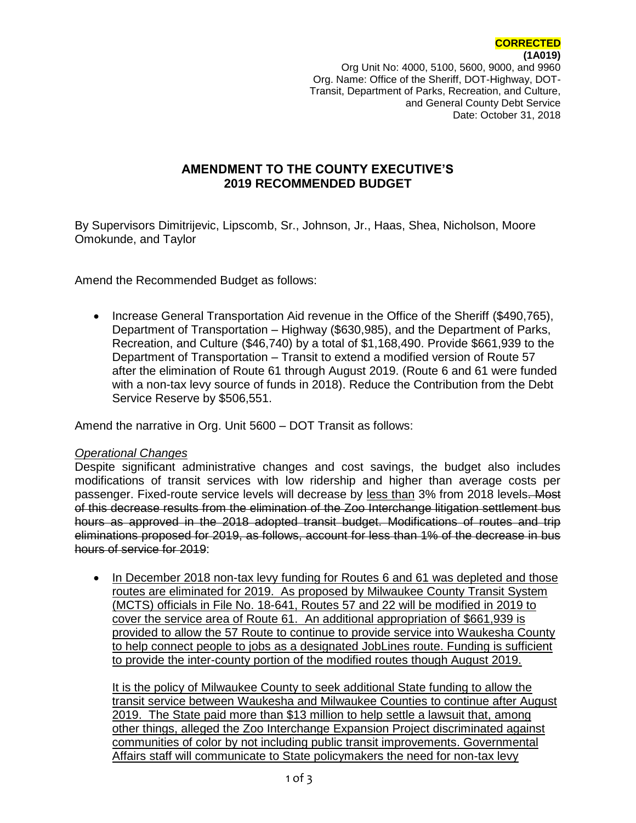Org Unit No: 4000, 5100, 5600, 9000, and 9960 Org. Name: Office of the Sheriff, DOT-Highway, DOT-Transit, Department of Parks, Recreation, and Culture, and General County Debt Service Date: October 31, 2018

## **AMENDMENT TO THE COUNTY EXECUTIVE'S 2019 RECOMMENDED BUDGET**

By Supervisors Dimitrijevic, Lipscomb, Sr., Johnson, Jr., Haas, Shea, Nicholson, Moore Omokunde, and Taylor

Amend the Recommended Budget as follows:

• Increase General Transportation Aid revenue in the Office of the Sheriff (\$490,765), Department of Transportation – Highway (\$630,985), and the Department of Parks, Recreation, and Culture (\$46,740) by a total of \$1,168,490. Provide \$661,939 to the Department of Transportation – Transit to extend a modified version of Route 57 after the elimination of Route 61 through August 2019. (Route 6 and 61 were funded with a non-tax levy source of funds in 2018). Reduce the Contribution from the Debt Service Reserve by \$506,551.

Amend the narrative in Org. Unit 5600 – DOT Transit as follows:

#### *Operational Changes*

Despite significant administrative changes and cost savings, the budget also includes modifications of transit services with low ridership and higher than average costs per passenger. Fixed-route service levels will decrease by less than 3% from 2018 levels. Most of this decrease results from the elimination of the Zoo Interchange litigation settlement bus hours as approved in the 2018 adopted transit budget. Modifications of routes and trip eliminations proposed for 2019, as follows, account for less than 1% of the decrease in bus hours of service for 2019:

• In December 2018 non-tax levy funding for Routes 6 and 61 was depleted and those routes are eliminated for 2019. As proposed by Milwaukee County Transit System (MCTS) officials in File No. 18-641, Routes 57 and 22 will be modified in 2019 to cover the service area of Route 61. An additional appropriation of \$661,939 is provided to allow the 57 Route to continue to provide service into Waukesha County to help connect people to jobs as a designated JobLines route. Funding is sufficient to provide the inter-county portion of the modified routes though August 2019.

It is the policy of Milwaukee County to seek additional State funding to allow the transit service between Waukesha and Milwaukee Counties to continue after August 2019. The State paid more than \$13 million to help settle a lawsuit that, among other things, alleged the Zoo Interchange Expansion Project discriminated against communities of color by not including public transit improvements. Governmental Affairs staff will communicate to State policymakers the need for non-tax levy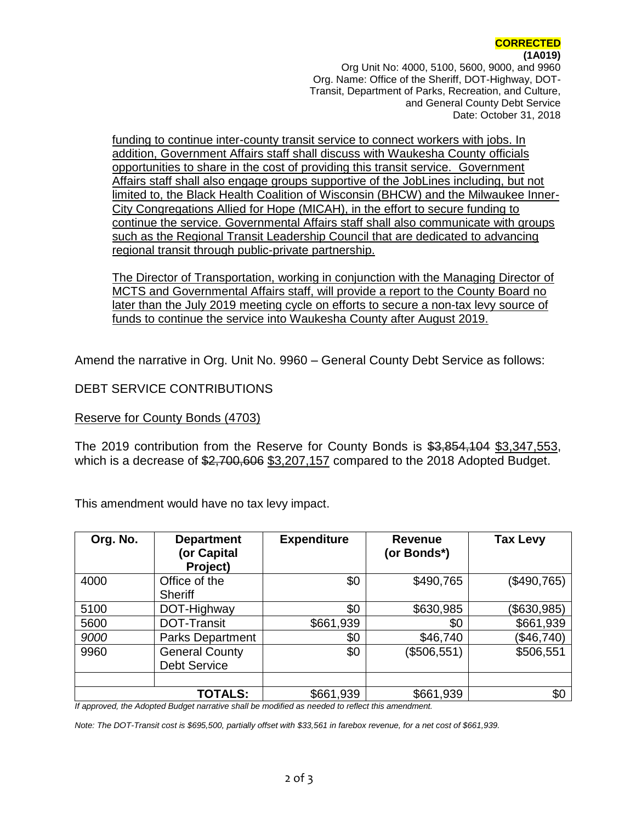# **(1A019)**

Org Unit No: 4000, 5100, 5600, 9000, and 9960 Org. Name: Office of the Sheriff, DOT-Highway, DOT-Transit, Department of Parks, Recreation, and Culture, and General County Debt Service Date: October 31, 2018

funding to continue inter-county transit service to connect workers with jobs. In addition, Government Affairs staff shall discuss with Waukesha County officials opportunities to share in the cost of providing this transit service. Government Affairs staff shall also engage groups supportive of the JobLines including, but not limited to, the Black Health Coalition of Wisconsin (BHCW) and the Milwaukee Inner-City Congregations Allied for Hope (MICAH), in the effort to secure funding to continue the service. Governmental Affairs staff shall also communicate with groups such as the Regional Transit Leadership Council that are dedicated to advancing regional transit through public-private partnership.

The Director of Transportation, working in conjunction with the Managing Director of MCTS and Governmental Affairs staff, will provide a report to the County Board no later than the July 2019 meeting cycle on efforts to secure a non-tax levy source of funds to continue the service into Waukesha County after August 2019.

Amend the narrative in Org. Unit No. 9960 – General County Debt Service as follows:

#### DEBT SERVICE CONTRIBUTIONS

#### Reserve for County Bonds (4703)

The 2019 contribution from the Reserve for County Bonds is \$3,854,104 \$3,347,553, which is a decrease of \$2,700,606 \$3,207,157 compared to the 2018 Adopted Budget.

This amendment would have no tax levy impact.

| Org. No. | <b>Department</b><br>(or Capital<br>Project) | <b>Expenditure</b> | <b>Revenue</b><br>(or Bonds*) | <b>Tax Levy</b> |
|----------|----------------------------------------------|--------------------|-------------------------------|-----------------|
| 4000     | Office of the<br>Sheriff                     | \$0                | \$490,765                     | (\$490,765)     |
| 5100     | DOT-Highway                                  | \$0                | \$630,985                     | (\$630,985)     |
| 5600     | <b>DOT-Transit</b>                           | \$661,939          | \$0                           | \$661,939       |
| 9000     | Parks Department                             | \$0                | \$46,740                      | (\$46,740)      |
| 9960     | <b>General County</b><br><b>Debt Service</b> | \$0                | (\$506,551)                   | \$506,551       |
|          | <b>TOTALS:</b>                               | \$661,939          | \$661,939                     | \$0             |

*If approved, the Adopted Budget narrative shall be modified as needed to reflect this amendment.*

*Note: The DOT-Transit cost is \$695,500, partially offset with \$33,561 in farebox revenue, for a net cost of \$661,939.*